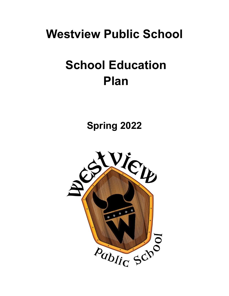# **Westview Public School**

# **School Education Plan**

**Spring 2022**

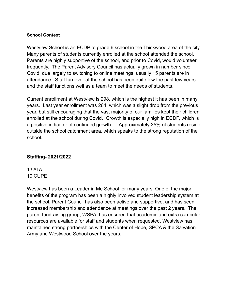#### **School Context**

Westview School is an ECDP to grade 6 school in the Thickwood area of the city. Many parents of students currently enrolled at the school attended the school. Parents are highly supportive of the school, and prior to Covid, would volunteer frequently. The Parent Advisory Council has actually grown in number since Covid, due largely to switching to online meetings; usually 15 parents are in attendance. Staff turnover at the school has been quite low the past few years and the staff functions well as a team to meet the needs of students.

Current enrollment at Westview is 298, which is the highest it has been in many years. Last year enrollment was 264, which was a slight drop from the previous year, but still encouraging that the vast majority of our families kept their children enrolled at the school during Covid. Growth is especially high in ECDP, which is a positive indicator of continued growth. Approximately 35% of students reside outside the school catchment area, which speaks to the strong reputation of the school.

#### **Staffing- 2021/2022**

13 ATA 10 CUPE

Westview has been a Leader in Me School for many years. One of the major benefits of the program has been a highly involved student leadership system at the school. Parent Council has also been active and supportive, and has seen increased membership and attendance at meetings over the past 2 years. The parent fundraising group, WSPA, has ensured that academic and extra curricular resources are available for staff and students when requested. Westview has maintained strong partnerships with the Center of Hope, SPCA & the Salvation Army and Westwood School over the years.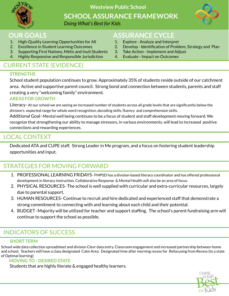

**Westview Public School**

**SCHOOL ASSURANCE FRAMEWORK** *Doing What's Best for Kids*



### **OUR GOALS**

- 1. High-Quality Learning Opportunities for All
- 2. Excellence in Student Learning Outcomes
- 3. Supporting First Nations, Métis and Inuit Students
- 4. Highly Responsive and Responsible Jurisdiction

## CURRENT STATE (EVIDENCE)

#### **STRENGTHS**

School student population continues to grow. Approximately 35% of students reside outside of our catchment area. Active and supportive parent council. Strong bond and connection between students, parents and staff creating a very "welcoming family" environment.

#### **AREAS FOR GROWTH**

Literacy- At our school we are seeing an increased number of students across all grade levels that are significantly below the division's expected range for whole word recognition, decoding skills, fluency and comprehension skills.

Additional Goal- Mental well being continues to be a focus of student and staff development moving forward. We recognize that strengthening our ability to manage stressors, in various environments, will lead to increased positive connections and rewarding experiences.

## LOCAL CONTEXT

Dedicated ATA and CUPE staff. Strong Leader in Me program, and a focus on fostering student leadership opportunities and input.

## STRATEGIES FOR MOVING FORWARD

- 1. PROFESSIONAL LEARNING FRIDAYS- FMPSD has a division-based literacy coordinator and has offered professional development in literacy instruction. Collaborative Response & Mental Health will also be an area of focus.
- 2. PHYSICAL RESOURCES- The school is well supplied with curricular and extra-curricular resources, largely due to parental support.
- 3. HUMAN RESOURCES- Continue to recruit and hire dedicated and experienced staff that demonstrate a strong commitment to connecting with and learning about each child and their potential.
- 4. BUDGET -Majority will be utilized for teacher and support staffing. The school's parent fundraising arm will continue to support the school as possible.

## INDICATORS OF SUCCESS

#### **SHORT TERM**

School wide data collection spreadsheet and division Clevr data entry. Classroom engagement and increased partnership between home and school.Teachers will have a class designated Calm Area. Designated time after morning recess for Refocusing from Recess (to a state of Optimal learning)

#### **MOVING TO - DESIRED STATE**

Students that are highly literate & engaged healthy learners.



## **ASSURANCE CYCLE**

- 1. Explore Analyze and Interpret
- 2. Develop Identification of Problem, Strategy and Plan
- 3. Take Action Implement and Adjust
- 4. Evaluate Impact on Outcomes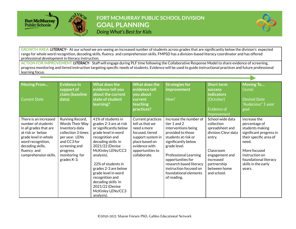

## FORT MCMURRAY PUBLIC SCHOOL DIVISION **GOAL PLANNING** Doing What's Best for Kids



**GROWTH AREA:** *LITERACY–* At our school we are seeing an increased number of students across grades that are significantly below the division's expected range for whole word recognition, decoding skills, fluency and comprehension skills. FMPSD has a division-based literacy coordinator and has offered professional development in literacy instruction.

**ACTION FOR IMPROVEMENT:** *LITERACY*- Staff will engage during PLF time following the Collaborative Response Model to share evidence of screening, progress monitoring and tiered instruction targeting specific needs of students. Evidence will be used to guide instructional practices and future professional learning focus.

| <b>Moving From</b><br>Current State                                                                                                                                                                | <b>Evidence in</b><br>support of<br>claim (baseline<br>data)                                                                                                              | What does the<br>evidence tell you<br>about the current<br>state of student<br>learning?                                                                                                                                                                                                                                                                         | What does the<br>evidence tell<br>you about<br>current<br>teaching<br>practices?                                                                                   | <b>Strategies for</b><br>improvement<br>How?                                                                                                                                                                                                                                                       | <b>Short term</b><br><b>SUCCESS</b><br>indicators<br>(October)<br>Evidence of<br><i>Improvement</i>                                                                          | <b>Moving To</b><br>(June)<br><b>Desired State</b><br>"Audacious" 1-year<br>goal                                                                                                                           |
|----------------------------------------------------------------------------------------------------------------------------------------------------------------------------------------------------|---------------------------------------------------------------------------------------------------------------------------------------------------------------------------|------------------------------------------------------------------------------------------------------------------------------------------------------------------------------------------------------------------------------------------------------------------------------------------------------------------------------------------------------------------|--------------------------------------------------------------------------------------------------------------------------------------------------------------------|----------------------------------------------------------------------------------------------------------------------------------------------------------------------------------------------------------------------------------------------------------------------------------------------------|------------------------------------------------------------------------------------------------------------------------------------------------------------------------------|------------------------------------------------------------------------------------------------------------------------------------------------------------------------------------------------------------|
| There is an increased<br>number of students<br>in all grades that are<br>at risk or below<br>grade level in whole<br>word recognition,<br>decoding skills,<br>fluency and<br>comprehension skills. | Running Record,<br>Words Their Way<br>Inventory data<br>collection 3 times<br>per year. LENs<br>and CC3 for<br>screening and<br>progress<br>monitoring for<br>grades K-3. | 41% of students in<br>grades 2-3 are at risk<br>or significantly below<br>grade level in word<br>recognition and<br>decoding skills in<br>2021/22 (Denise<br>McKinley LENs/CC3<br>analysis).<br>22% of students in<br>grades 2-3 are below<br>grade level in word<br>recognition and<br>decoding skills in<br>2021/22 (Denise<br>McKinley LENs/CC3<br>analysis). | Current practices<br>tell us that we<br>need a more<br>focused, tiered<br>support system in<br>place based on<br>evidence with<br>opportunities to<br>collaborate. | Increase the number of<br>tier 1 and 2<br>interventions being<br>provided to those<br>students at risk or<br>significantly below<br>grade level.<br><b>Professional Learning</b><br>opportunities for<br>research based literacy<br>instruction focused on<br>foundational elements<br>of reading. | School wide data<br>collection<br>spreadsheet and<br>division Clevr data<br>entry.<br>Classroom<br>engagement and<br>increased<br>partnership<br>between home<br>and school. | Increase the<br>percentage of<br>students making<br>significant progress in<br>their specific area of<br>need.<br>More focused<br>instruction on<br>foundational literacy<br>skills in the early<br>years. |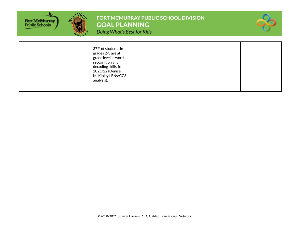

FORT MCMURRAY PUBLIC SCHOOL DIVISION **GOAL PLANNING** 





|  | 37% of students in<br>grades 2-3 are at<br>grade level in word<br>recognition and<br>decoding skills in<br>2021/22 (Denise<br>McKinley LENs/CC3<br>analysis). |  |  |  |  |
|--|---------------------------------------------------------------------------------------------------------------------------------------------------------------|--|--|--|--|
|--|---------------------------------------------------------------------------------------------------------------------------------------------------------------|--|--|--|--|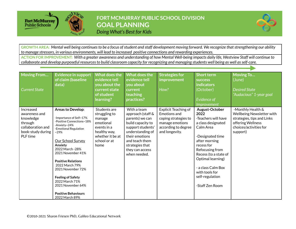

FORT MCMURRAY PUBLIC SCHOOL DIVISION **GOAL PLANNING** Doing What's Best for Kids



GROWTH AREA: Mental well being continues to be a focus of student and staff development moving forward. We recognize that strengthening our ability *to manage stressors, in various environments, will lead to increased positive connections and rewarding experiences.* ACTION FOR IMPROVEMENT: With a greater awareness and understanding of how Mental Well-being impacts daily life, Westview Staff will continue to

collaborate and develop purposeful resources to build classroom capacity for recognizing and managing students well being as well as self-care.

| <b>Moving From</b><br><b>Current State</b>                                                               | <b>Evidence in support</b><br>of claim (baseline<br>data)                                                                                                                                                                                                                                                                                                                                            | <b>What does the</b><br>evidence tell<br>you about the<br>current state<br>of student<br>learning?                              | What does the<br>evidence tell<br>you about<br>current<br>teaching<br>practices?                                                                                                                            | <b>Strategies for</b><br>improvement<br>How?                                                                                    | <b>Short term</b><br><b>SUCCESS</b><br><b>indicators</b><br>(October)<br>Evidence of<br><b>Improvement</b>                                                                                                                                                                         | <b>Moving To</b><br>(June)<br><b>Desired State</b><br>"Audacious" 1-year goal                                                           |
|----------------------------------------------------------------------------------------------------------|------------------------------------------------------------------------------------------------------------------------------------------------------------------------------------------------------------------------------------------------------------------------------------------------------------------------------------------------------------------------------------------------------|---------------------------------------------------------------------------------------------------------------------------------|-------------------------------------------------------------------------------------------------------------------------------------------------------------------------------------------------------------|---------------------------------------------------------------------------------------------------------------------------------|------------------------------------------------------------------------------------------------------------------------------------------------------------------------------------------------------------------------------------------------------------------------------------|-----------------------------------------------------------------------------------------------------------------------------------------|
| Increased<br>awareness and<br>knowledge<br>through<br>collaboration and<br>book-study during<br>PLF time | <b>Areas to Develop:</b><br>-Importance of Self~17%<br>-Positive Connections~18%<br>-Anxiety~24%<br>-Emotional Regulation<br>$~29\%$<br>Our School Survey<br>Anxiety<br>2022 March - 28%<br>2021 November 41%<br><b>Positive Relations</b><br>2022 March 79%<br>2021 November 72%<br><b>Feeling of Safety</b><br>2022 March 71%<br>2021 November 64%<br><b>Positive Behaviours</b><br>2022 March 89% | Students are<br>struggling to<br>manage<br>emotional<br>events in a<br>healthy way,<br>whether it be at<br>school or at<br>home | With a team<br>approach (staff &<br>parents) we can<br>build capacity to<br>support students'<br>understanding of<br>their emotions<br>and teach them<br>strategies that<br>they can access<br>when needed. | <b>Explicit Teaching of</b><br>Emotions and<br>coping strategies to<br>manage emotions<br>according to degree<br>and longevity. | August-October<br>2022<br>-Teachers will have<br>a class designated<br>Calm Area<br>-Designated time<br>after morning<br>recess for<br>Refocusing from<br>Recess (to a state of<br>Optimal learning)<br>- a class Calm Box<br>with tools for<br>self-regulation<br>-Staff Zen Room | -Monthly Health &<br>Wellbeing Newsletter with<br>strategies, tips and Links<br>offering Wellness<br>choices/activities for<br>support) |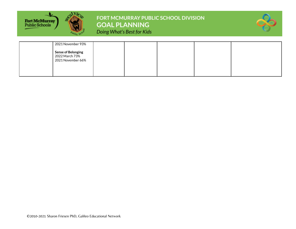

## FORT MCMURRAY PUBLIC SCHOOL DIVISION **GOAL PLANNING** Doing What's Best for Kids



| 2021 November 93%                                                |  |  |  |
|------------------------------------------------------------------|--|--|--|
| <b>Sense of Belonging</b><br>2022 March 73%<br>2021 November 66% |  |  |  |
|                                                                  |  |  |  |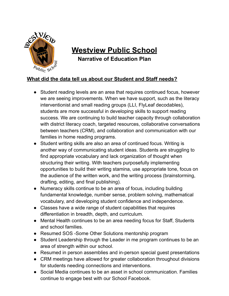

## **Westview Public School**

**Narrative of Education Plan**

### **What did the data tell us about our Student and Staff needs?**

- Student reading levels are an area that requires continued focus, however we are seeing improvements. When we have support, such as the literacy interventionist and small reading groups (LLI, FlyLeaf decodables), students are more successful in developing skills to support reading success. We are continuing to build teacher capacity through collaboration with district literacy coach, targeted resources, collaborative conversations between teachers (CRM), and collaboration and communication with our families in home reading programs.
- Student writing skills are also an area of continued focus. Writing is another way of communicating student ideas. Students are struggling to find appropriate vocabulary and lack organization of thought when structuring their writing. With teachers purposefully implementing opportunities to build their writing stamina, use appropriate tone, focus on the audience of the written work, and the writing process (brainstorming, drafting, editing, and final publishing).
- Numeracy skills continue to be an area of focus, including building fundamental knowledge, number sense, problem solving, mathematical vocabulary, and developing student confidence and independence.
- Classes have a wide range of student capabilities that requires differentiation in breadth, depth, and curriculum.
- Mental Health continues to be an area needing focus for Staff, Students and school families.
- Resumed SOS -Some Other Solutions mentorship program
- Student Leadership through the Leader in me program continues to be an area of strength within our school.
- Resumed in person assemblies and in-person special guest presentations
- CRM meetings have allowed for greater collaboration throughout divisions for students needing connections and interventions.
- Social Media continues to be an asset in school communication. Families continue to engage best with our School Facebook.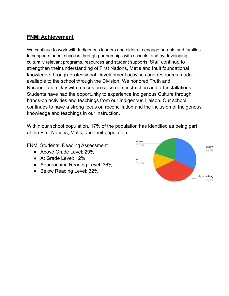#### **FNMI Achievement**

We continue to work with Indigenous leaders and elders to engage parents and families to support student success through partnerships with schools, and by developing culturally relevant programs, resources and student supports. Staff continue to strengthen their understanding of First Nations, Metis and Inuit foundational knowledge through Professional Development activities and resources made available to the school through the Division. We honored Truth and Reconciliation Day with a focus on classroom instruction and art installations. Students have had the opportunity to experience Indigenous Culture through hands-on activities and teachings from our Indigenous Liaison. Our school continues to have a strong focus on reconciliation and the inclusion of Indigenous knowledge and teachings in our instruction.

Within our school population, 17% of the population has identified as being part of the First Nations, Métis, and Inuit population.

FNMI Students: Reading Assessment

- Above Grade Level: 20%
- At Grade Level: 12%
- Approaching Reading Level: 36%
- Below Reading Level: 32%

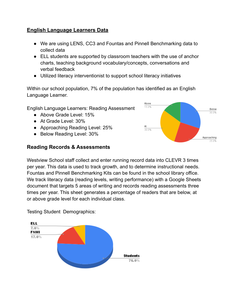#### **English Language Learners Data**

- We are using LENS, CC3 and Fountas and Pinnell Benchmarking data to collect data
- ELL students are supported by classroom teachers with the use of anchor charts, teaching background vocabulary/concepts, conversations and verbal feedback
- Utilized literacy interventionist to support school literacy initiatives

Within our school population, 7% of the population has identified as an English Language Learner.

English Language Learners: Reading Assessment

- Above Grade Level: 15%
- At Grade Level: 30%
- Approaching Reading Level: 25%
- Below Reading Level: 30%

#### **Reading Records & Assessments**



Westview School staff collect and enter running record data into CLEVR 3 times per year. This data is used to track growth, and to determine instructional needs. Fountas and Pinnell Benchmarking Kits can be found in the school library office. We track literacy data (reading levels, writing performance) with a Google Sheets document that targets 5 areas of writing and records reading assessments three times per year. This sheet generates a percentage of readers that are below, at or above grade level for each individual class.



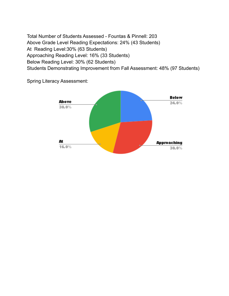Total Number of Students Assessed - Fountas & Pinnell: 203 Above Grade Level Reading Expectations: 24% (43 Students) At Reading Level:30% (63 Students) Approaching Reading Level: 16% (33 Students) Below Reading Level: 30% (62 Students) Students Demonstrating Improvement from Fall Assessment: 48% (97 Students)

> Below **Above**  $24.0%$  $30.0%$ At **Approaching**  $16.0%$  $30.0\%$

Spring Literacy Assessment: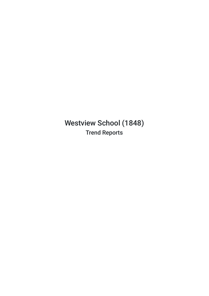Westview School (1848) Trend Reports